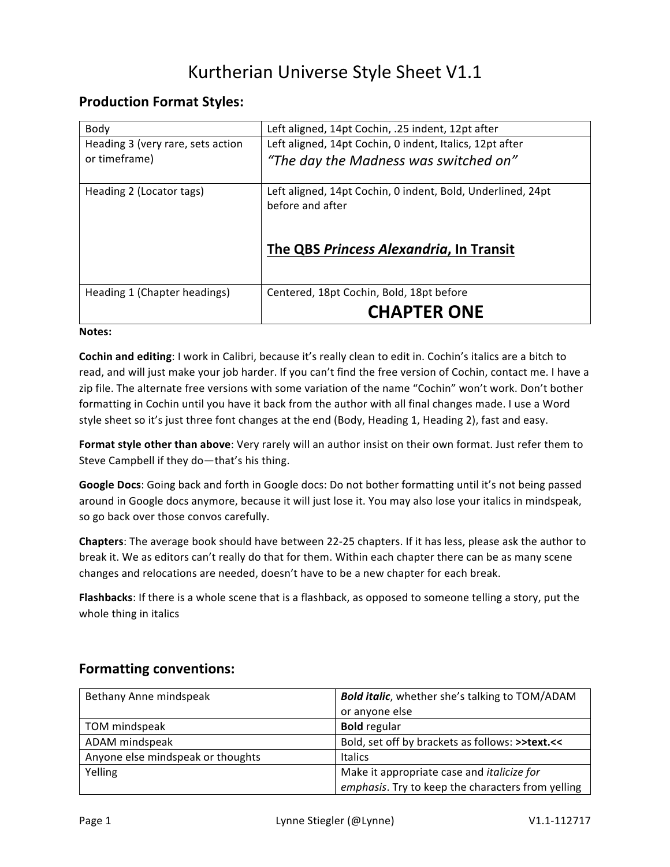# Kurtherian Universe Style Sheet V1.1

## **Production Format Styles:**

| Body                              | Left aligned, 14pt Cochin, .25 indent, 12pt after                               |
|-----------------------------------|---------------------------------------------------------------------------------|
| Heading 3 (very rare, sets action | Left aligned, 14pt Cochin, 0 indent, Italics, 12pt after                        |
| or timeframe)                     | "The day the Madness was switched on"                                           |
| Heading 2 (Locator tags)          | Left aligned, 14pt Cochin, 0 indent, Bold, Underlined, 24pt<br>before and after |
|                                   | The QBS Princess Alexandria, In Transit                                         |
| Heading 1 (Chapter headings)      | Centered, 18pt Cochin, Bold, 18pt before                                        |
|                                   | <b>CHAPTER ONE</b>                                                              |

#### **Notes:**

**Cochin and editing**: I work in Calibri, because it's really clean to edit in. Cochin's italics are a bitch to read, and will just make your job harder. If you can't find the free version of Cochin, contact me. I have a zip file. The alternate free versions with some variation of the name "Cochin" won't work. Don't bother formatting in Cochin until you have it back from the author with all final changes made. I use a Word style sheet so it's just three font changes at the end (Body, Heading 1, Heading 2), fast and easy.

Format style other than above: Very rarely will an author insist on their own format. Just refer them to Steve Campbell if they do-that's his thing.

Google Docs: Going back and forth in Google docs: Do not bother formatting until it's not being passed around in Google docs anymore, because it will just lose it. You may also lose your italics in mindspeak, so go back over those convos carefully.

**Chapters**: The average book should have between 22-25 chapters. If it has less, please ask the author to break it. We as editors can't really do that for them. Within each chapter there can be as many scene changes and relocations are needed, doesn't have to be a new chapter for each break.

**Flashbacks**: If there is a whole scene that is a flashback, as opposed to someone telling a story, put the whole thing in italics

| Bethany Anne mindspeak            | <b>Bold italic, whether she's talking to TOM/ADAM</b><br>or anyone else                                |
|-----------------------------------|--------------------------------------------------------------------------------------------------------|
| TOM mindspeak                     | <b>Bold</b> regular                                                                                    |
| ADAM mindspeak                    | Bold, set off by brackets as follows: >>text.<<                                                        |
| Anyone else mindspeak or thoughts | <b>Italics</b>                                                                                         |
| Yelling                           | Make it appropriate case and <i>italicize for</i><br>emphasis. Try to keep the characters from yelling |

### **Formatting conventions:**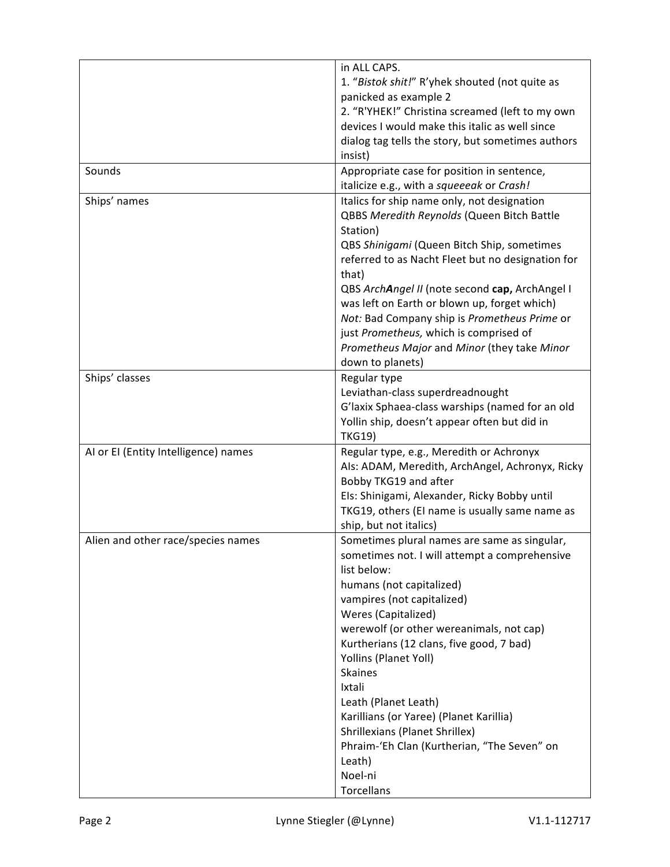|                                      | in ALL CAPS.                                                    |
|--------------------------------------|-----------------------------------------------------------------|
|                                      | 1. "Bistok shit!" R'yhek shouted (not quite as                  |
|                                      | panicked as example 2                                           |
|                                      | 2. "R'YHEK!" Christina screamed (left to my own                 |
|                                      | devices I would make this italic as well since                  |
|                                      | dialog tag tells the story, but sometimes authors               |
|                                      | insist)                                                         |
| Sounds                               | Appropriate case for position in sentence,                      |
|                                      | italicize e.g., with a squeeeak or Crash!                       |
| Ships' names                         | Italics for ship name only, not designation                     |
|                                      | QBBS Meredith Reynolds (Queen Bitch Battle<br>Station)          |
|                                      |                                                                 |
|                                      | QBS Shinigami (Queen Bitch Ship, sometimes                      |
|                                      | referred to as Nacht Fleet but no designation for<br>that)      |
|                                      | QBS ArchAngel II (note second cap, ArchAngel I                  |
|                                      | was left on Earth or blown up, forget which)                    |
|                                      | Not: Bad Company ship is Prometheus Prime or                    |
|                                      | just Prometheus, which is comprised of                          |
|                                      | Prometheus Major and Minor (they take Minor                     |
|                                      | down to planets)                                                |
| Ships' classes                       | Regular type                                                    |
|                                      | Leviathan-class superdreadnought                                |
|                                      | G'laxix Sphaea-class warships (named for an old                 |
|                                      | Yollin ship, doesn't appear often but did in                    |
|                                      | <b>TKG19)</b>                                                   |
| AI or EI (Entity Intelligence) names | Regular type, e.g., Meredith or Achronyx                        |
|                                      | Als: ADAM, Meredith, ArchAngel, Achronyx, Ricky                 |
|                                      | Bobby TKG19 and after                                           |
|                                      | Els: Shinigami, Alexander, Ricky Bobby until                    |
|                                      | TKG19, others (EI name is usually same name as                  |
|                                      | ship, but not italics)                                          |
| Alien and other race/species names   | Sometimes plural names are same as singular,                    |
|                                      | sometimes not. I will attempt a comprehensive                   |
|                                      | list below:                                                     |
|                                      | humans (not capitalized)                                        |
|                                      | vampires (not capitalized)                                      |
|                                      | Weres (Capitalized)<br>werewolf (or other wereanimals, not cap) |
|                                      | Kurtherians (12 clans, five good, 7 bad)                        |
|                                      | Yollins (Planet Yoll)                                           |
|                                      | <b>Skaines</b>                                                  |
|                                      | Ixtali                                                          |
|                                      | Leath (Planet Leath)                                            |
|                                      | Karillians (or Yaree) (Planet Karillia)                         |
|                                      | Shrillexians (Planet Shrillex)                                  |
|                                      | Phraim-'Eh Clan (Kurtherian, "The Seven" on                     |
|                                      | Leath)                                                          |
|                                      | Noel-ni                                                         |
|                                      | Torcellans                                                      |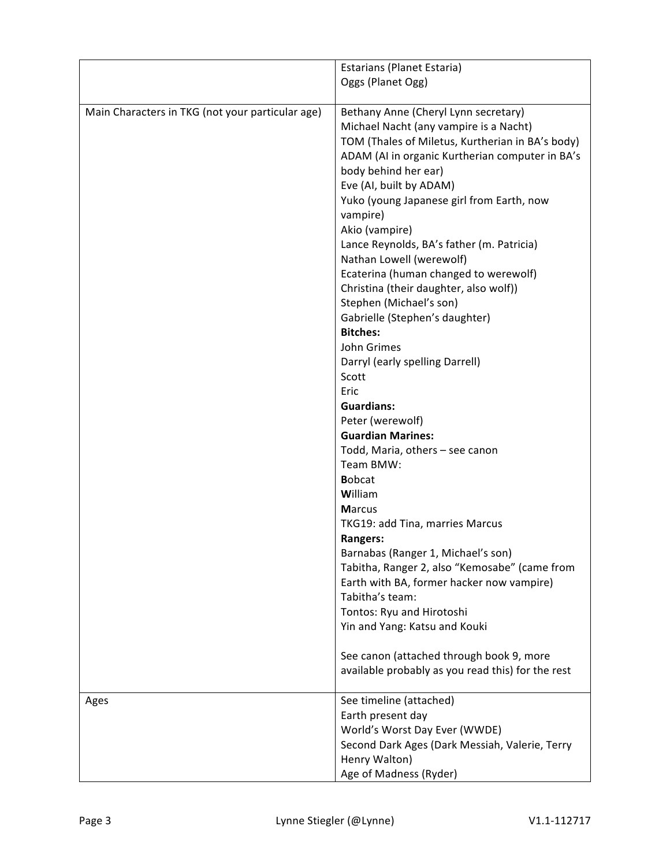|                                                  | Estarians (Planet Estaria)                        |
|--------------------------------------------------|---------------------------------------------------|
|                                                  | Oggs (Planet Ogg)                                 |
|                                                  |                                                   |
| Main Characters in TKG (not your particular age) | Bethany Anne (Cheryl Lynn secretary)              |
|                                                  | Michael Nacht (any vampire is a Nacht)            |
|                                                  | TOM (Thales of Miletus, Kurtherian in BA's body)  |
|                                                  | ADAM (AI in organic Kurtherian computer in BA's   |
|                                                  | body behind her ear)                              |
|                                                  | Eve (AI, built by ADAM)                           |
|                                                  | Yuko (young Japanese girl from Earth, now         |
|                                                  | vampire)                                          |
|                                                  | Akio (vampire)                                    |
|                                                  | Lance Reynolds, BA's father (m. Patricia)         |
|                                                  | Nathan Lowell (werewolf)                          |
|                                                  | Ecaterina (human changed to werewolf)             |
|                                                  | Christina (their daughter, also wolf))            |
|                                                  | Stephen (Michael's son)                           |
|                                                  | Gabrielle (Stephen's daughter)                    |
|                                                  | <b>Bitches:</b>                                   |
|                                                  | John Grimes                                       |
|                                                  | Darryl (early spelling Darrell)                   |
|                                                  | Scott                                             |
|                                                  | Eric                                              |
|                                                  | <b>Guardians:</b>                                 |
|                                                  | Peter (werewolf)                                  |
|                                                  | <b>Guardian Marines:</b>                          |
|                                                  | Todd, Maria, others - see canon                   |
|                                                  | Team BMW:                                         |
|                                                  | <b>Bobcat</b>                                     |
|                                                  | William                                           |
|                                                  | <b>Marcus</b>                                     |
|                                                  | TKG19: add Tina, marries Marcus                   |
|                                                  | <b>Rangers:</b>                                   |
|                                                  | Barnabas (Ranger 1, Michael's son)                |
|                                                  | Tabitha, Ranger 2, also "Kemosabe" (came from     |
|                                                  | Earth with BA, former hacker now vampire)         |
|                                                  | Tabitha's team:                                   |
|                                                  | Tontos: Ryu and Hirotoshi                         |
|                                                  | Yin and Yang: Katsu and Kouki                     |
|                                                  |                                                   |
|                                                  | See canon (attached through book 9, more          |
|                                                  | available probably as you read this) for the rest |
|                                                  |                                                   |
| Ages                                             | See timeline (attached)                           |
|                                                  | Earth present day                                 |
|                                                  | World's Worst Day Ever (WWDE)                     |
|                                                  | Second Dark Ages (Dark Messiah, Valerie, Terry    |
|                                                  | Henry Walton)                                     |
|                                                  | Age of Madness (Ryder)                            |